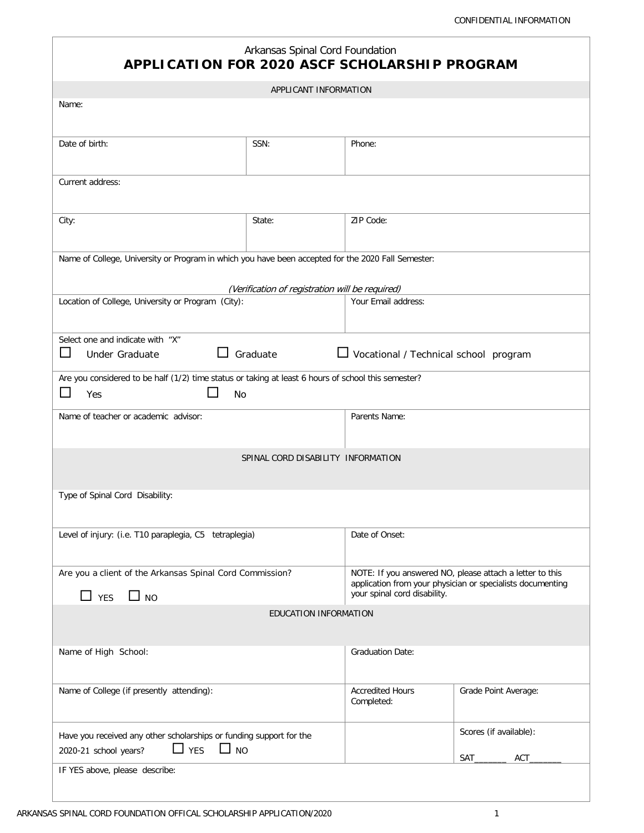|                                                                                                                         | Arkansas Spinal Cord Foundation<br><b>APPLICATION FOR 2020 ASCF SCHOLARSHIP PROGRAM</b> |                                              |                                                                                                                                                        |  |
|-------------------------------------------------------------------------------------------------------------------------|-----------------------------------------------------------------------------------------|----------------------------------------------|--------------------------------------------------------------------------------------------------------------------------------------------------------|--|
|                                                                                                                         | APPLICANT INFORMATION                                                                   |                                              |                                                                                                                                                        |  |
| Name:                                                                                                                   |                                                                                         |                                              |                                                                                                                                                        |  |
| Date of birth:                                                                                                          | SSN:                                                                                    | Phone:                                       |                                                                                                                                                        |  |
| Current address:                                                                                                        |                                                                                         |                                              |                                                                                                                                                        |  |
| City:                                                                                                                   | State:                                                                                  | ZIP Code:                                    |                                                                                                                                                        |  |
| Name of College, University or Program in which you have been accepted for the 2020 Fall Semester:                      |                                                                                         |                                              |                                                                                                                                                        |  |
| Location of College, University or Program (City):                                                                      | (Verification of registration will be required)                                         | Your Email address:                          |                                                                                                                                                        |  |
|                                                                                                                         |                                                                                         |                                              |                                                                                                                                                        |  |
| Select one and indicate with "X"<br>$\Box$<br>Under Graduate                                                            | Graduate                                                                                | $\Box$ Vocational / Technical school program |                                                                                                                                                        |  |
| Are you considered to be half (1/2) time status or taking at least 6 hours of school this semester?<br>Yes              | <b>No</b>                                                                               |                                              |                                                                                                                                                        |  |
| Name of teacher or academic advisor:                                                                                    |                                                                                         | Parents Name:                                |                                                                                                                                                        |  |
|                                                                                                                         | SPINAL CORD DISABILITY INFORMATION                                                      |                                              |                                                                                                                                                        |  |
| Type of Spinal Cord Disability:                                                                                         |                                                                                         |                                              |                                                                                                                                                        |  |
| Level of injury: (i.e. T10 paraplegia, C5 tetraplegia)                                                                  |                                                                                         | Date of Onset:                               |                                                                                                                                                        |  |
| Are you a client of the Arkansas Spinal Cord Commission?<br>$\Box$ YES<br>$\Box$ NO                                     |                                                                                         |                                              | NOTE: If you answered NO, please attach a letter to this<br>application from your physician or specialists documenting<br>your spinal cord disability. |  |
|                                                                                                                         | EDUCATION INFORMATION                                                                   |                                              |                                                                                                                                                        |  |
| Name of High School:                                                                                                    |                                                                                         | <b>Graduation Date:</b>                      |                                                                                                                                                        |  |
| Name of College (if presently attending):                                                                               |                                                                                         | <b>Accredited Hours</b><br>Completed:        | Grade Point Average:                                                                                                                                   |  |
| Have you received any other scholarships or funding support for the<br>$\Box$ YES<br>$\Box$ No<br>2020-21 school years? |                                                                                         |                                              | Scores (if available):                                                                                                                                 |  |
| IF YES above, please describe:                                                                                          |                                                                                         |                                              | <b>ACT</b><br>SAT                                                                                                                                      |  |
|                                                                                                                         |                                                                                         |                                              |                                                                                                                                                        |  |